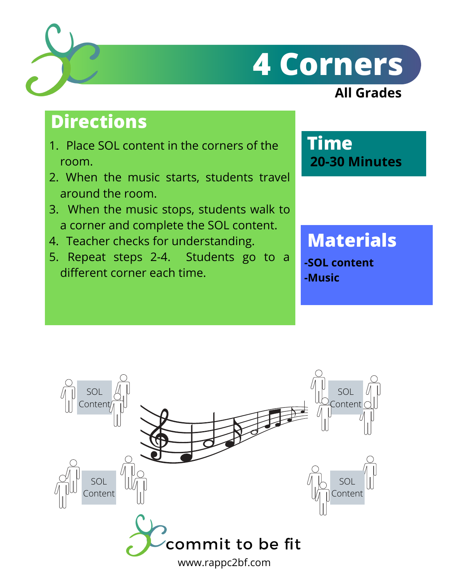# **4 Corners**

## **All Grades**

## **Directions**

- 1. Place SOL content in the corners of the room.
- When the music starts, students travel 2. around the room.
- When the music stops, students walk to 3. a corner and complete the SOL content.
- 4. Teacher checks for understanding.
- 5. Repeat steps 2-4. Students go to a different corner each time.

**Time 20-30 Minutes**

# **Materials**

**-SOL content -Music**